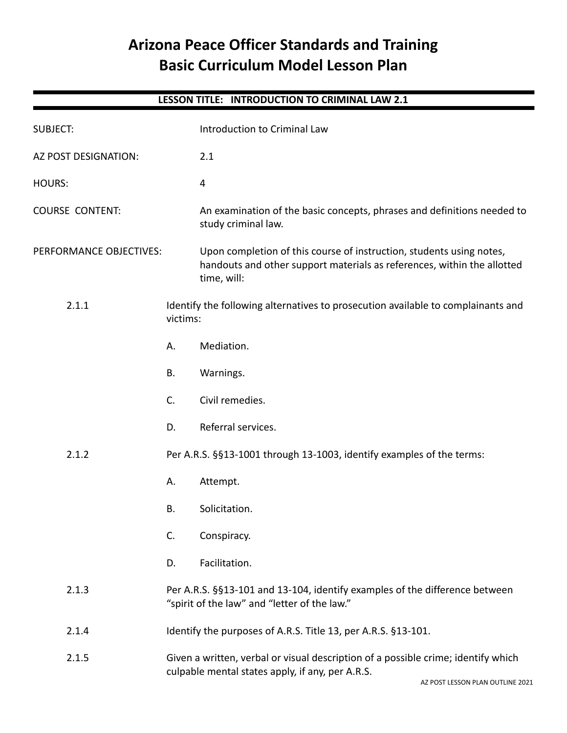# **Arizona Peace Officer Standards and Training Basic Curriculum Model Lesson Plan**

# **LESSON TITLE: INTRODUCTION TO CRIMINAL LAW 2.1**

| <b>SUBJECT:</b>         |                                                                                                                                       | Introduction to Criminal Law                                                                                                                                   |
|-------------------------|---------------------------------------------------------------------------------------------------------------------------------------|----------------------------------------------------------------------------------------------------------------------------------------------------------------|
| AZ POST DESIGNATION:    |                                                                                                                                       | 2.1                                                                                                                                                            |
| <b>HOURS:</b>           |                                                                                                                                       | 4                                                                                                                                                              |
| <b>COURSE CONTENT:</b>  |                                                                                                                                       | An examination of the basic concepts, phrases and definitions needed to<br>study criminal law.                                                                 |
| PERFORMANCE OBJECTIVES: |                                                                                                                                       | Upon completion of this course of instruction, students using notes,<br>handouts and other support materials as references, within the allotted<br>time, will: |
| 2.1.1                   | victims:                                                                                                                              | Identify the following alternatives to prosecution available to complainants and                                                                               |
|                         | А.                                                                                                                                    | Mediation.                                                                                                                                                     |
|                         | <b>B.</b>                                                                                                                             | Warnings.                                                                                                                                                      |
|                         | C.                                                                                                                                    | Civil remedies.                                                                                                                                                |
|                         | D.                                                                                                                                    | Referral services.                                                                                                                                             |
| 2.1.2                   |                                                                                                                                       | Per A.R.S. §§13-1001 through 13-1003, identify examples of the terms:                                                                                          |
|                         | А.                                                                                                                                    | Attempt.                                                                                                                                                       |
|                         | <b>B.</b>                                                                                                                             | Solicitation.                                                                                                                                                  |
|                         | C.                                                                                                                                    | Conspiracy.                                                                                                                                                    |
|                         | D.                                                                                                                                    | Facilitation.                                                                                                                                                  |
| 2.1.3                   | Per A.R.S. §§13-101 and 13-104, identify examples of the difference between<br>"spirit of the law" and "letter of the law."           |                                                                                                                                                                |
| 2.1.4                   |                                                                                                                                       | Identify the purposes of A.R.S. Title 13, per A.R.S. §13-101.                                                                                                  |
| 2.1.5                   | Given a written, verbal or visual description of a possible crime; identify which<br>culpable mental states apply, if any, per A.R.S. |                                                                                                                                                                |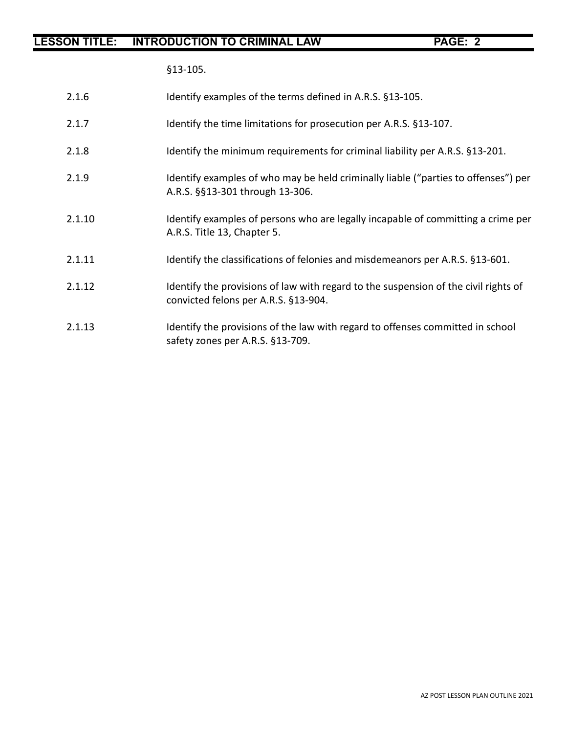§13-105.

- 2.1.7 Identify the time limitations for prosecution per A.R.S. §13-107.
- 2.1.8 Identify the minimum requirements for criminal liability per A.R.S. §13-201.
- 2.1.9 Identify examples of who may be held criminally liable ("parties to offenses") per A.R.S. §§13-301 through 13-306.
- 2.1.10 Identify examples of persons who are legally incapable of committing a crime per A.R.S. Title 13, Chapter 5.
- 2.1.11 Identify the classifications of felonies and misdemeanors per A.R.S. §13-601.
- 2.1.12 Identify the provisions of law with regard to the suspension of the civil rights of convicted felons per A.R.S. §13-904.
- 2.1.13 Identify the provisions of the law with regard to offenses committed in school safety zones per A.R.S. §13-709.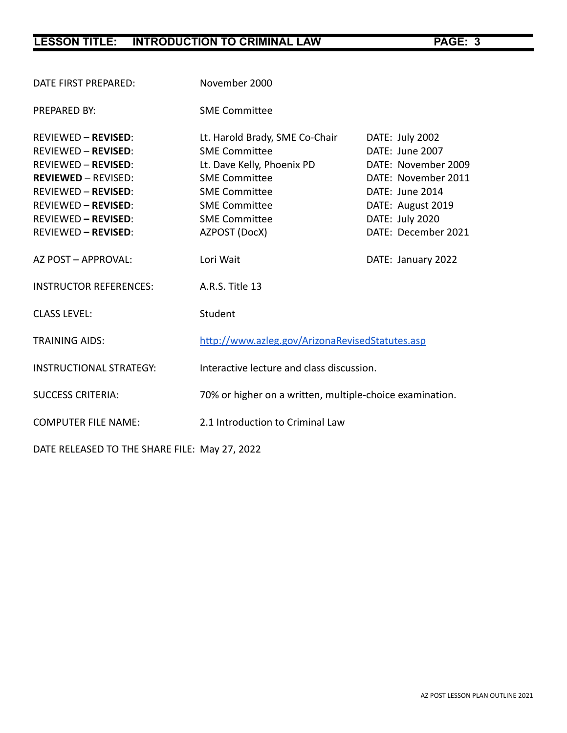| DATE FIRST PREPARED:           | November 2000                                            |                     |  |
|--------------------------------|----------------------------------------------------------|---------------------|--|
| PREPARED BY:                   | <b>SME Committee</b>                                     |                     |  |
| <b>REVIEWED - REVISED:</b>     | Lt. Harold Brady, SME Co-Chair                           | DATE: July 2002     |  |
| <b>REVIEWED - REVISED:</b>     | <b>SME Committee</b>                                     | DATE: June 2007     |  |
| <b>REVIEWED - REVISED:</b>     | Lt. Dave Kelly, Phoenix PD                               | DATE: November 2009 |  |
| <b>REVIEWED - REVISED:</b>     | <b>SME Committee</b>                                     | DATE: November 2011 |  |
| <b>REVIEWED - REVISED:</b>     | <b>SME Committee</b>                                     | DATE: June 2014     |  |
| <b>REVIEWED - REVISED:</b>     | <b>SME Committee</b>                                     | DATE: August 2019   |  |
| <b>REVIEWED - REVISED:</b>     | <b>SME Committee</b>                                     | DATE: July 2020     |  |
| <b>REVIEWED - REVISED:</b>     | AZPOST (DocX)                                            | DATE: December 2021 |  |
| AZ POST - APPROVAL:            | Lori Wait                                                | DATE: January 2022  |  |
| <b>INSTRUCTOR REFERENCES:</b>  | A.R.S. Title 13                                          |                     |  |
| <b>CLASS LEVEL:</b>            | Student                                                  |                     |  |
| <b>TRAINING AIDS:</b>          | http://www.azleg.gov/ArizonaRevisedStatutes.asp          |                     |  |
| <b>INSTRUCTIONAL STRATEGY:</b> | Interactive lecture and class discussion.                |                     |  |
| <b>SUCCESS CRITERIA:</b>       | 70% or higher on a written, multiple-choice examination. |                     |  |
| <b>COMPUTER FILE NAME:</b>     | 2.1 Introduction to Criminal Law                         |                     |  |
|                                |                                                          |                     |  |

DATE RELEASED TO THE SHARE FILE: May 27, 2022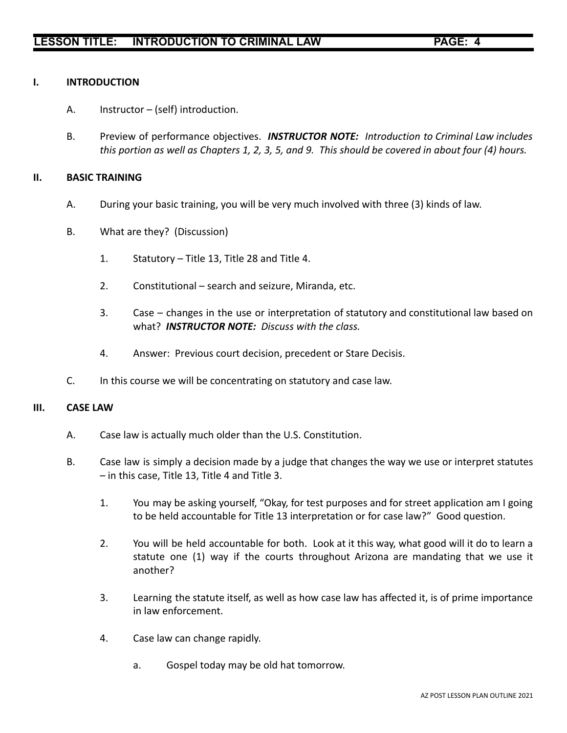### **I. INTRODUCTION**

- A. Instructor (self) introduction.
- B. Preview of performance objectives. *INSTRUCTOR NOTE: Introduction to Criminal Law includes this portion as well as Chapters 1, 2, 3, 5, and 9. This should be covered in about four (4) hours.*

### **II. BASIC TRAINING**

- A. During your basic training, you will be very much involved with three (3) kinds of law.
- B. What are they? (Discussion)
	- 1. Statutory Title 13, Title 28 and Title 4.
	- 2. Constitutional search and seizure, Miranda, etc.
	- 3. Case changes in the use or interpretation of statutory and constitutional law based on what? *INSTRUCTOR NOTE: Discuss with the class.*
	- 4. Answer: Previous court decision, precedent or Stare Decisis.
- C. In this course we will be concentrating on statutory and case law.

### **III. CASE LAW**

- A. Case law is actually much older than the U.S. Constitution.
- B. Case law is simply a decision made by a judge that changes the way we use or interpret statutes – in this case, Title 13, Title 4 and Title 3.
	- 1. You may be asking yourself, "Okay, for test purposes and for street application am I going to be held accountable for Title 13 interpretation or for case law?" Good question.
	- 2. You will be held accountable for both. Look at it this way, what good will it do to learn a statute one (1) way if the courts throughout Arizona are mandating that we use it another?
	- 3. Learning the statute itself, as well as how case law has affected it, is of prime importance in law enforcement.
	- 4. Case law can change rapidly.
		- a. Gospel today may be old hat tomorrow.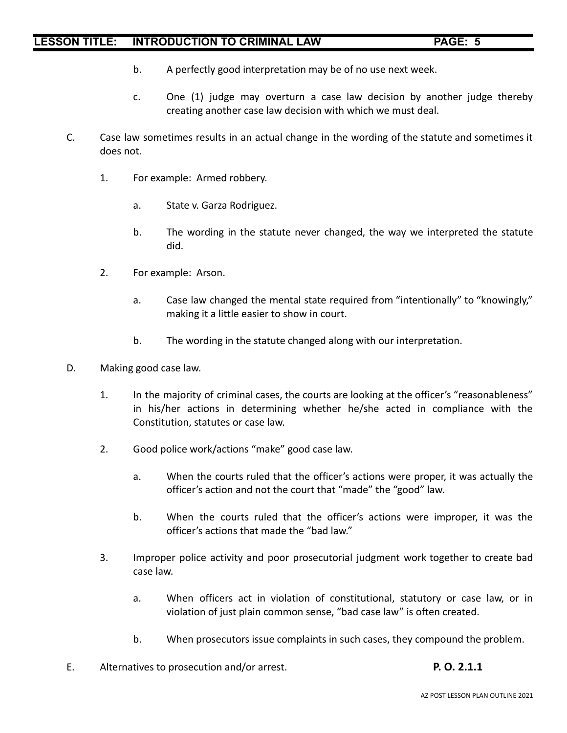- b. A perfectly good interpretation may be of no use next week.
- c. One (1) judge may overturn a case law decision by another judge thereby creating another case law decision with which we must deal.
- C. Case law sometimes results in an actual change in the wording of the statute and sometimes it does not.
	- 1. For example: Armed robbery.
		- a. State v. Garza Rodriguez.
		- b. The wording in the statute never changed, the way we interpreted the statute did.
	- 2. For example: Arson.
		- a. Case law changed the mental state required from "intentionally" to "knowingly," making it a little easier to show in court.
		- b. The wording in the statute changed along with our interpretation.
- D. Making good case law.
	- 1. In the majority of criminal cases, the courts are looking at the officer's "reasonableness" in his/her actions in determining whether he/she acted in compliance with the Constitution, statutes or case law.
	- 2. Good police work/actions "make" good case law.
		- a. When the courts ruled that the officer's actions were proper, it was actually the officer's action and not the court that "made" the "good" law.
		- b. When the courts ruled that the officer's actions were improper, it was the officer's actions that made the "bad law."
	- 3. Improper police activity and poor prosecutorial judgment work together to create bad case law.
		- a. When officers act in violation of constitutional, statutory or case law, or in violation of just plain common sense, "bad case law" is often created.
		- b. When prosecutors issue complaints in such cases, they compound the problem.
- E. Alternatives to prosecution and/or arrest. **P. O. 2.1.1**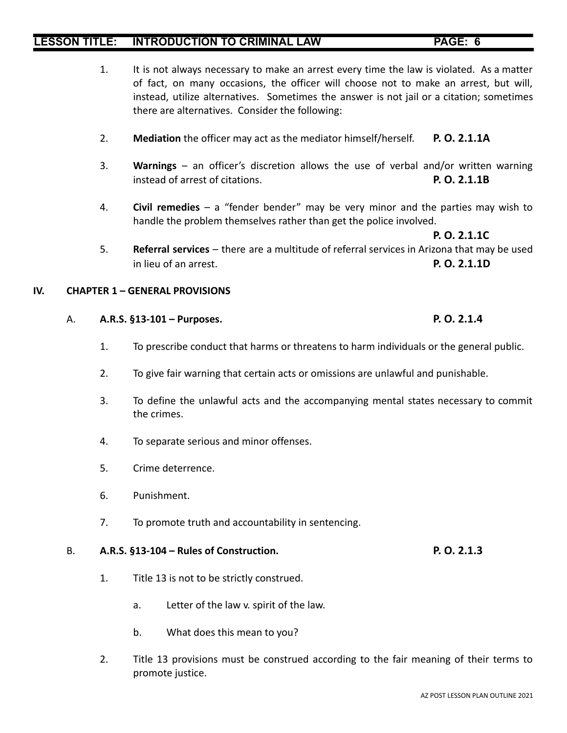- 1. It is not always necessary to make an arrest every time the law is violated. As a matter of fact, on many occasions, the officer will choose not to make an arrest, but will, instead, utilize alternatives. Sometimes the answer is not jail or a citation; sometimes there are alternatives. Consider the following:
- 2. **Mediation** the officer may act as the mediator himself/herself. **P. O. 2.1.1A**
- 3. **Warnings** an officer's discretion allows the use of verbal and/or written warning instead of arrest of citations. **P. O. 2.1.1B**
- 4. **Civil remedies** a "fender bender" may be very minor and the parties may wish to handle the problem themselves rather than get the police involved.

**P. O. 2.1.1C**

5. **Referral services** – there are a multitude of referral services in Arizona that may be used in lieu of an arrest. **P. O. 2.1.1D**

### **IV. CHAPTER 1 – GENERAL PROVISIONS**

- A. **A.R.S. §13-101 Purposes. P. O. 2.1.4**
	- 1. To prescribe conduct that harms or threatens to harm individuals or the general public.
	- 2. To give fair warning that certain acts or omissions are unlawful and punishable.
	- 3. To define the unlawful acts and the accompanying mental states necessary to commit the crimes.
	- 4. To separate serious and minor offenses.
	- 5. Crime deterrence.
	- 6. Punishment.
	- 7. To promote truth and accountability in sentencing.

### B. **A.R.S. §13-104 – Rules of Construction. P. O. 2.1.3**

- 1. Title 13 is not to be strictly construed.
	- a. Letter of the law v. spirit of the law.
	- b. What does this mean to you?
- 2. Title 13 provisions must be construed according to the fair meaning of their terms to promote justice.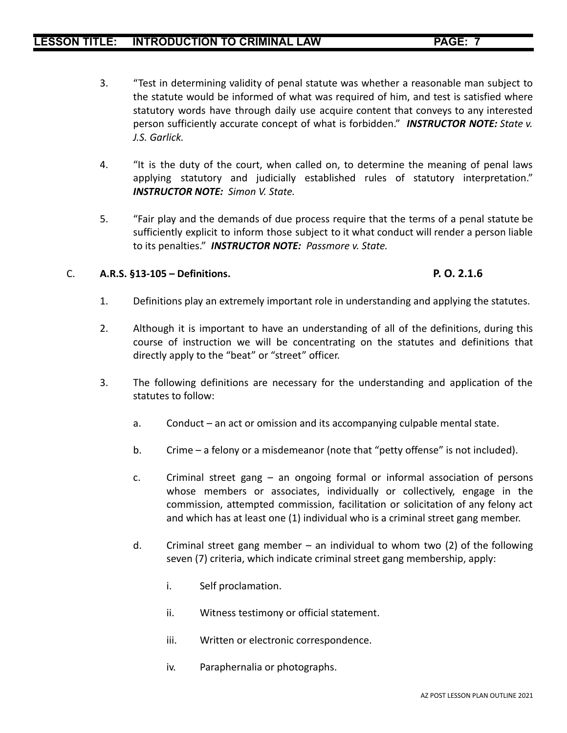- 3. "Test in determining validity of penal statute was whether a reasonable man subject to the statute would be informed of what was required of him, and test is satisfied where statutory words have through daily use acquire content that conveys to any interested person sufficiently accurate concept of what is forbidden." *INSTRUCTOR NOTE: State v. J.S. Garlick.*
- 4. "It is the duty of the court, when called on, to determine the meaning of penal laws applying statutory and judicially established rules of statutory interpretation." *INSTRUCTOR NOTE: Simon V. State.*
- 5. "Fair play and the demands of due process require that the terms of a penal statute be sufficiently explicit to inform those subject to it what conduct will render a person liable to its penalties." *INSTRUCTOR NOTE: Passmore v. State.*

### C. **A.R.S. §13-105 – Definitions. P. O. 2.1.6**

- 1. Definitions play an extremely important role in understanding and applying the statutes.
- 2. Although it is important to have an understanding of all of the definitions, during this course of instruction we will be concentrating on the statutes and definitions that directly apply to the "beat" or "street" officer.
- 3. The following definitions are necessary for the understanding and application of the statutes to follow:
	- a. Conduct an act or omission and its accompanying culpable mental state.
	- b. Crime a felony or a misdemeanor (note that "petty offense" is not included).
	- c. Criminal street gang an ongoing formal or informal association of persons whose members or associates, individually or collectively, engage in the commission, attempted commission, facilitation or solicitation of any felony act and which has at least one (1) individual who is a criminal street gang member.
	- d. Criminal street gang member an individual to whom two  $(2)$  of the following seven (7) criteria, which indicate criminal street gang membership, apply:
		- i. Self proclamation.
		- ii. Witness testimony or official statement.
		- iii. Written or electronic correspondence.
		- iv. Paraphernalia or photographs.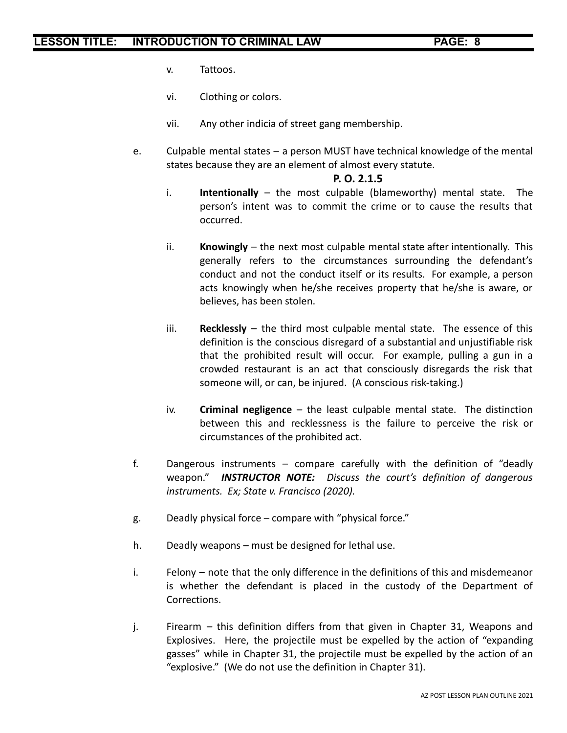- v. Tattoos.
- vi. Clothing or colors.
- vii. Any other indicia of street gang membership.
- e. Culpable mental states a person MUST have technical knowledge of the mental states because they are an element of almost every statute.

### **P. O. 2.1.5**

- i. **Intentionally** the most culpable (blameworthy) mental state. The person's intent was to commit the crime or to cause the results that occurred.
- ii. **Knowingly** the next most culpable mental state after intentionally. This generally refers to the circumstances surrounding the defendant's conduct and not the conduct itself or its results. For example, a person acts knowingly when he/she receives property that he/she is aware, or believes, has been stolen.
- iii. **Recklessly** the third most culpable mental state. The essence of this definition is the conscious disregard of a substantial and unjustifiable risk that the prohibited result will occur. For example, pulling a gun in a crowded restaurant is an act that consciously disregards the risk that someone will, or can, be injured. (A conscious risk-taking.)
- iv. **Criminal negligence** the least culpable mental state. The distinction between this and recklessness is the failure to perceive the risk or circumstances of the prohibited act.
- f. Dangerous instruments compare carefully with the definition of "deadly weapon." *INSTRUCTOR NOTE: Discuss the court's definition of dangerous instruments. Ex; State v. Francisco (2020).*
- g. Deadly physical force compare with "physical force."
- h. Deadly weapons must be designed for lethal use.
- i. Felony note that the only difference in the definitions of this and misdemeanor is whether the defendant is placed in the custody of the Department of Corrections.
- j. Firearm this definition differs from that given in Chapter 31, Weapons and Explosives. Here, the projectile must be expelled by the action of "expanding gasses" while in Chapter 31, the projectile must be expelled by the action of an "explosive." (We do not use the definition in Chapter 31).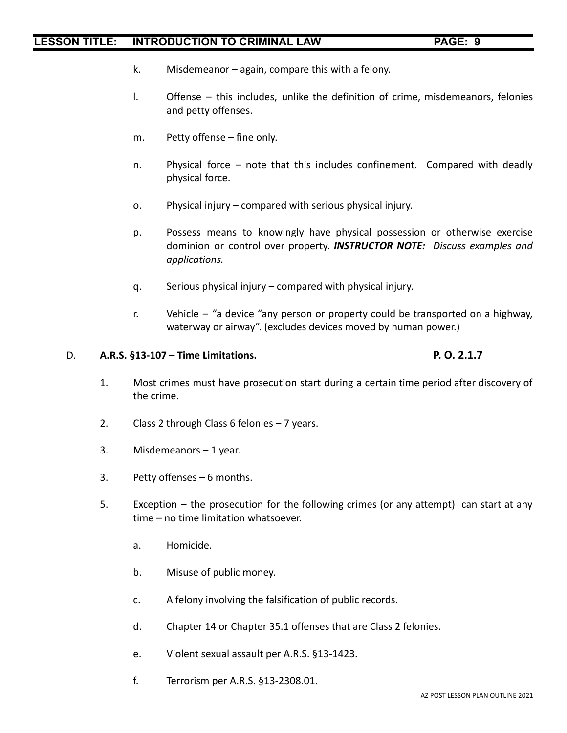- k. Misdemeanor again, compare this with a felony.
- l. Offense this includes, unlike the definition of crime, misdemeanors, felonies and petty offenses.
- m. Petty offense fine only.
- n. Physical force note that this includes confinement. Compared with deadly physical force.
- o. Physical injury compared with serious physical injury.
- p. Possess means to knowingly have physical possession or otherwise exercise dominion or control over property. *INSTRUCTOR NOTE: Discuss examples and applications.*
- q. Serious physical injury compared with physical injury.
- r. Vehicle "a device "any person or property could be transported on a highway, waterway or airway". (excludes devices moved by human power.)

### D. **A.R.S. §13-107 – Time Limitations. P. O. 2.1.7**

- 1. Most crimes must have prosecution start during a certain time period after discovery of the crime.
- 2. Class 2 through Class 6 felonies 7 years.
- 3. Misdemeanors 1 year.
- 3. Petty offenses 6 months.
- 5. Exception the prosecution for the following crimes (or any attempt) can start at any time – no time limitation whatsoever.
	- a. Homicide.
	- b. Misuse of public money.
	- c. A felony involving the falsification of public records.
	- d. Chapter 14 or Chapter 35.1 offenses that are Class 2 felonies.
	- e. Violent sexual assault per A.R.S. §13-1423.
	- f. Terrorism per A.R.S. §13-2308.01.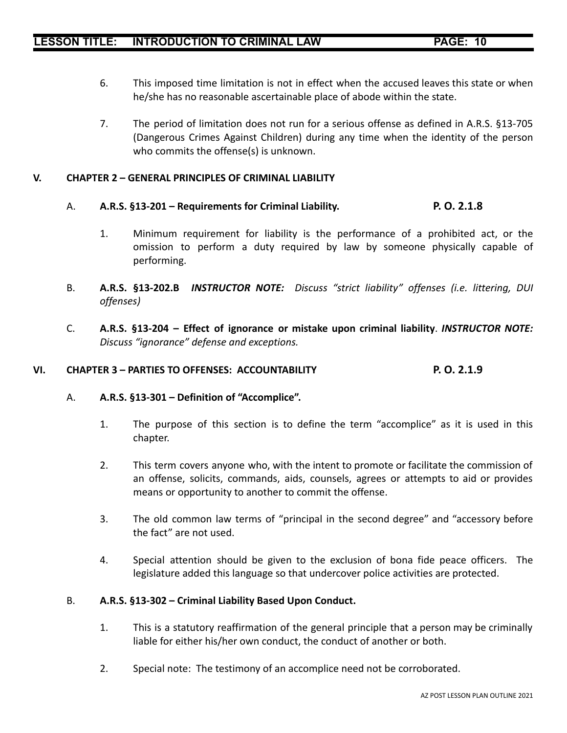- 6. This imposed time limitation is not in effect when the accused leaves this state or when he/she has no reasonable ascertainable place of abode within the state.
- 7. The period of limitation does not run for a serious offense as defined in A.R.S. §13-705 (Dangerous Crimes Against Children) during any time when the identity of the person who commits the offense(s) is unknown.

### **V. CHAPTER 2 – GENERAL PRINCIPLES OF CRIMINAL LIABILITY**

### A. **A.R.S. §13-201 – Requirements for Criminal Liability. P. O. 2.1.8**

- 1. Minimum requirement for liability is the performance of a prohibited act, or the omission to perform a duty required by law by someone physically capable of performing.
- B. **A.R.S. §13-202.B** *INSTRUCTOR NOTE: Discuss "strict liability" offenses (i.e. littering, DUI offenses)*
- C. **A.R.S. §13-204 – Effect of ignorance or mistake upon criminal liability**. *INSTRUCTOR NOTE: Discuss "ignorance" defense and exceptions.*

### **VI. CHAPTER 3 – PARTIES TO OFFENSES: ACCOUNTABILITY P. O. 2.1.9**

### A. **A.R.S. §13-301 – Definition of "Accomplice".**

- 1. The purpose of this section is to define the term "accomplice" as it is used in this chapter.
- 2. This term covers anyone who, with the intent to promote or facilitate the commission of an offense, solicits, commands, aids, counsels, agrees or attempts to aid or provides means or opportunity to another to commit the offense.
- 3. The old common law terms of "principal in the second degree" and "accessory before the fact" are not used.
- 4. Special attention should be given to the exclusion of bona fide peace officers. The legislature added this language so that undercover police activities are protected.

### B. **A.R.S. §13-302 – Criminal Liability Based Upon Conduct.**

- 1. This is a statutory reaffirmation of the general principle that a person may be criminally liable for either his/her own conduct, the conduct of another or both.
- 2. Special note: The testimony of an accomplice need not be corroborated.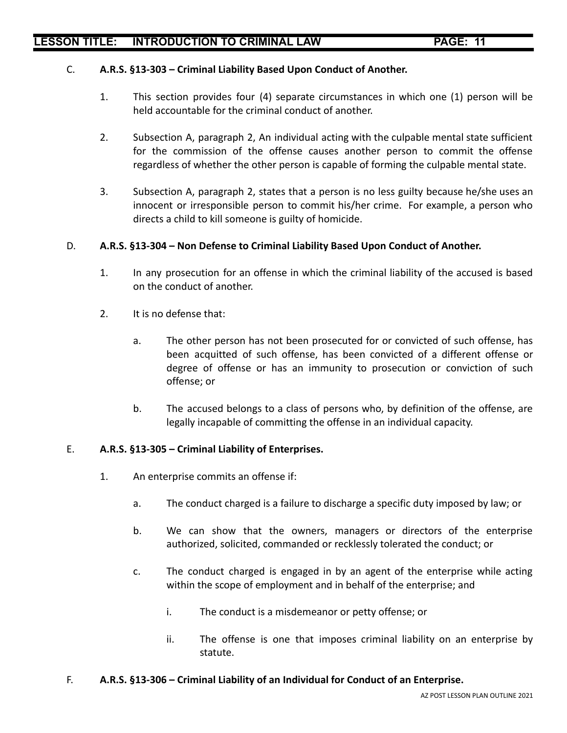### C. **A.R.S. §13-303 – Criminal Liability Based Upon Conduct of Another.**

- 1. This section provides four (4) separate circumstances in which one (1) person will be held accountable for the criminal conduct of another.
- 2. Subsection A, paragraph 2, An individual acting with the culpable mental state sufficient for the commission of the offense causes another person to commit the offense regardless of whether the other person is capable of forming the culpable mental state.
- 3. Subsection A, paragraph 2, states that a person is no less guilty because he/she uses an innocent or irresponsible person to commit his/her crime. For example, a person who directs a child to kill someone is guilty of homicide.

### D. **A.R.S. §13-304 – Non Defense to Criminal Liability Based Upon Conduct of Another.**

- 1. In any prosecution for an offense in which the criminal liability of the accused is based on the conduct of another.
- 2. It is no defense that:
	- a. The other person has not been prosecuted for or convicted of such offense, has been acquitted of such offense, has been convicted of a different offense or degree of offense or has an immunity to prosecution or conviction of such offense; or
	- b. The accused belongs to a class of persons who, by definition of the offense, are legally incapable of committing the offense in an individual capacity.

### E. **A.R.S. §13-305 – Criminal Liability of Enterprises.**

- 1. An enterprise commits an offense if:
	- a. The conduct charged is a failure to discharge a specific duty imposed by law; or
	- b. We can show that the owners, managers or directors of the enterprise authorized, solicited, commanded or recklessly tolerated the conduct; or
	- c. The conduct charged is engaged in by an agent of the enterprise while acting within the scope of employment and in behalf of the enterprise; and
		- i. The conduct is a misdemeanor or petty offense; or
		- ii. The offense is one that imposes criminal liability on an enterprise by statute.

### F. **A.R.S. §13-306 – Criminal Liability of an Individual for Conduct of an Enterprise.**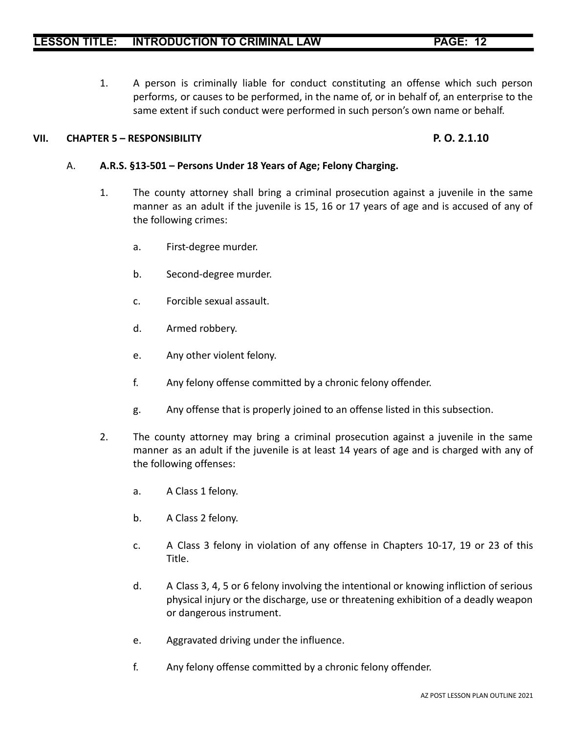1. A person is criminally liable for conduct constituting an offense which such person performs, or causes to be performed, in the name of, or in behalf of, an enterprise to the same extent if such conduct were performed in such person's own name or behalf.

### **VII. CHAPTER 5 – RESPONSIBILITY P. O. 2.1.10**

### A. **A.R.S. §13-501 – Persons Under 18 Years of Age; Felony Charging.**

- 1. The county attorney shall bring a criminal prosecution against a juvenile in the same manner as an adult if the juvenile is 15, 16 or 17 years of age and is accused of any of the following crimes:
	- a. First-degree murder.
	- b. Second-degree murder.
	- c. Forcible sexual assault.
	- d. Armed robbery.
	- e. Any other violent felony.
	- f. Any felony offense committed by a chronic felony offender.
	- g. Any offense that is properly joined to an offense listed in this subsection.
- 2. The county attorney may bring a criminal prosecution against a juvenile in the same manner as an adult if the juvenile is at least 14 years of age and is charged with any of the following offenses:
	- a. A Class 1 felony.
	- b. A Class 2 felony.
	- c. A Class 3 felony in violation of any offense in Chapters 10-17, 19 or 23 of this Title.
	- d. A Class 3, 4, 5 or 6 felony involving the intentional or knowing infliction of serious physical injury or the discharge, use or threatening exhibition of a deadly weapon or dangerous instrument.
	- e. Aggravated driving under the influence.
	- f. Any felony offense committed by a chronic felony offender.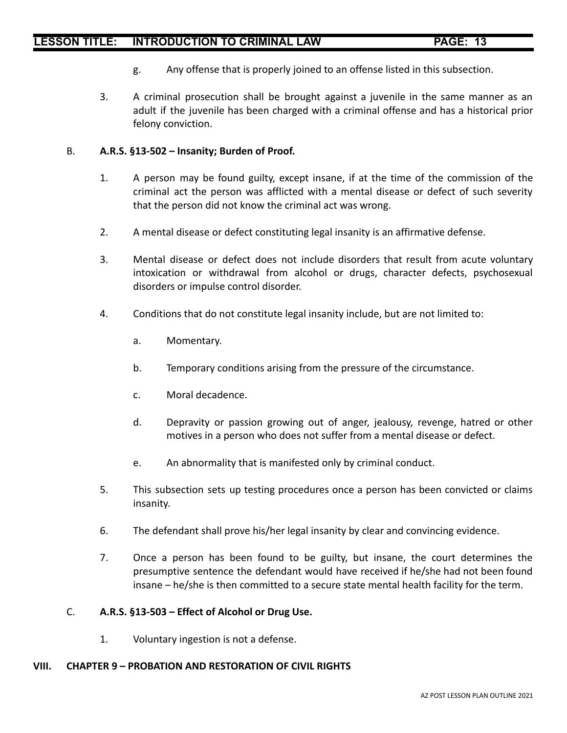- g. Any offense that is properly joined to an offense listed in this subsection.
- 3. A criminal prosecution shall be brought against a juvenile in the same manner as an adult if the juvenile has been charged with a criminal offense and has a historical prior felony conviction.

### B. **A.R.S. §13-502 – Insanity; Burden of Proof.**

- 1. A person may be found guilty, except insane, if at the time of the commission of the criminal act the person was afflicted with a mental disease or defect of such severity that the person did not know the criminal act was wrong.
- 2. A mental disease or defect constituting legal insanity is an affirmative defense.
- 3. Mental disease or defect does not include disorders that result from acute voluntary intoxication or withdrawal from alcohol or drugs, character defects, psychosexual disorders or impulse control disorder.
- 4. Conditions that do not constitute legal insanity include, but are not limited to:
	- a. Momentary.
	- b. Temporary conditions arising from the pressure of the circumstance.
	- c. Moral decadence.
	- d. Depravity or passion growing out of anger, jealousy, revenge, hatred or other motives in a person who does not suffer from a mental disease or defect.
	- e. An abnormality that is manifested only by criminal conduct.
- 5. This subsection sets up testing procedures once a person has been convicted or claims insanity.
- 6. The defendant shall prove his/her legal insanity by clear and convincing evidence.
- 7. Once a person has been found to be guilty, but insane, the court determines the presumptive sentence the defendant would have received if he/she had not been found insane – he/she is then committed to a secure state mental health facility for the term.

### C. **A.R.S. §13-503 – Effect of Alcohol or Drug Use.**

1. Voluntary ingestion is not a defense.

### **VIII. CHAPTER 9 – PROBATION AND RESTORATION OF CIVIL RIGHTS**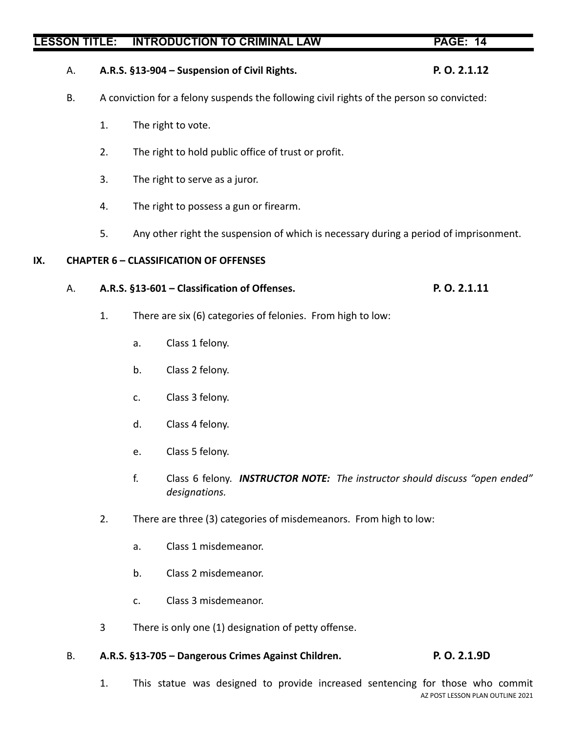# A. **A.R.S. §13-904 – Suspension of Civil Rights. P. O. 2.1.12**

- B. A conviction for a felony suspends the following civil rights of the person so convicted:
	- 1. The right to vote.
	- 2. The right to hold public office of trust or profit.
	- 3. The right to serve as a juror.
	- 4. The right to possess a gun or firearm.
	- 5. Any other right the suspension of which is necessary during a period of imprisonment.

### **IX. CHAPTER 6 – CLASSIFICATION OF OFFENSES**

### A. **A.R.S. §13-601 – Classification of Offenses. P. O. 2.1.11**

- 1. There are six (6) categories of felonies. From high to low:
	- a. Class 1 felony.
	- b. Class 2 felony.
	- c. Class 3 felony.
	- d. Class 4 felony.
	- e. Class 5 felony.
	- f. Class 6 felony. *INSTRUCTOR NOTE: The instructor should discuss "open ended" designations.*
- 2. There are three (3) categories of misdemeanors. From high to low:
	- a. Class 1 misdemeanor.
	- b. Class 2 misdemeanor.
	- c. Class 3 misdemeanor.
- 3 There is only one (1) designation of petty offense.

### B. **A.R.S. §13-705 – Dangerous Crimes Against Children. P. O. 2.1.9D**

1. This statue was designed to provide increased sentencing for those who commit AZ POST LESSON PLAN OUTLINE 2021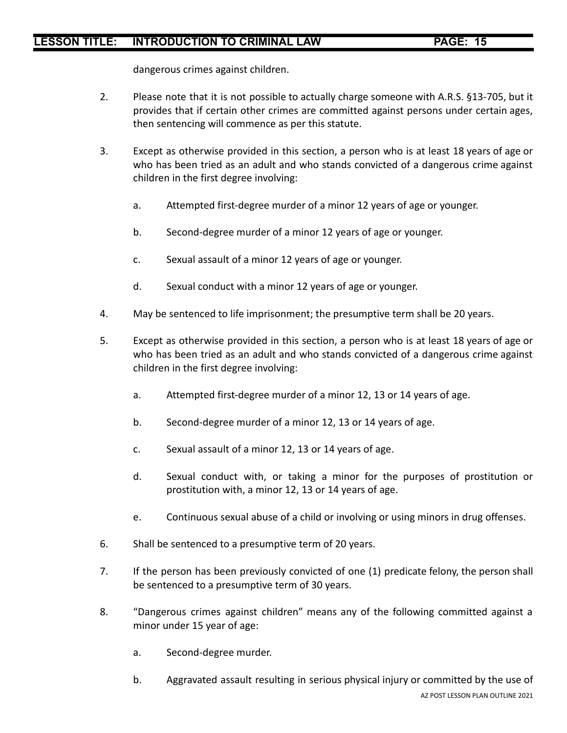dangerous crimes against children.

- 2. Please note that it is not possible to actually charge someone with A.R.S. §13-705, but it provides that if certain other crimes are committed against persons under certain ages, then sentencing will commence as per this statute.
- 3. Except as otherwise provided in this section, a person who is at least 18 years of age or who has been tried as an adult and who stands convicted of a dangerous crime against children in the first degree involving:
	- a. Attempted first-degree murder of a minor 12 years of age or younger.
	- b. Second-degree murder of a minor 12 years of age or younger.
	- c. Sexual assault of a minor 12 years of age or younger.
	- d. Sexual conduct with a minor 12 years of age or younger.
- 4. May be sentenced to life imprisonment; the presumptive term shall be 20 years.
- 5. Except as otherwise provided in this section, a person who is at least 18 years of age or who has been tried as an adult and who stands convicted of a dangerous crime against children in the first degree involving:
	- a. Attempted first-degree murder of a minor 12, 13 or 14 years of age.
	- b. Second-degree murder of a minor 12, 13 or 14 years of age.
	- c. Sexual assault of a minor 12, 13 or 14 years of age.
	- d. Sexual conduct with, or taking a minor for the purposes of prostitution or prostitution with, a minor 12, 13 or 14 years of age.
	- e. Continuous sexual abuse of a child or involving or using minors in drug offenses.
- 6. Shall be sentenced to a presumptive term of 20 years.
- 7. If the person has been previously convicted of one (1) predicate felony, the person shall be sentenced to a presumptive term of 30 years.
- 8. "Dangerous crimes against children" means any of the following committed against a minor under 15 year of age:
	- a. Second-degree murder.
	- b. Aggravated assault resulting in serious physical injury or committed by the use of AZ POST LESSON PLAN OUTLINE 2021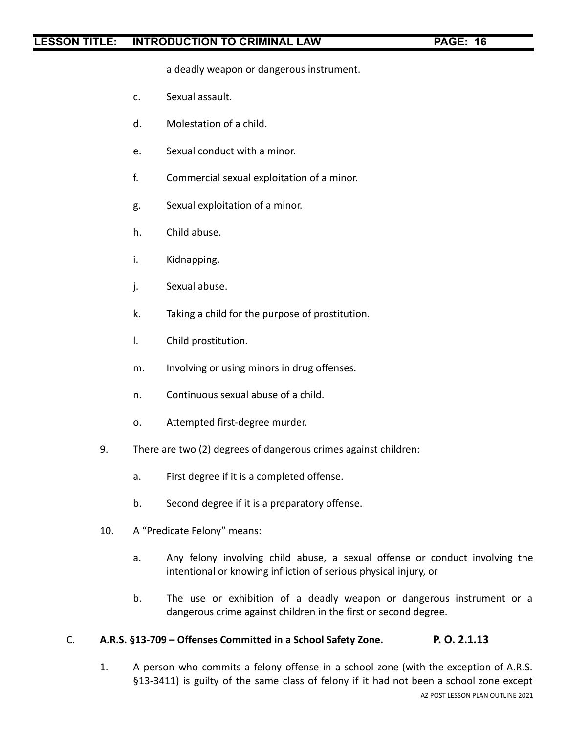a deadly weapon or dangerous instrument.

- c. Sexual assault.
- d. Molestation of a child.
- e. Sexual conduct with a minor.
- f. Commercial sexual exploitation of a minor.
- g. Sexual exploitation of a minor.
- h. Child abuse.
- i. Kidnapping.
- j. Sexual abuse.
- k. Taking a child for the purpose of prostitution.
- l. Child prostitution.
- m. Involving or using minors in drug offenses.
- n. Continuous sexual abuse of a child.
- o. Attempted first-degree murder.
- 9. There are two (2) degrees of dangerous crimes against children:
	- a. First degree if it is a completed offense.
	- b. Second degree if it is a preparatory offense.
- 10. A "Predicate Felony" means:
	- a. Any felony involving child abuse, a sexual offense or conduct involving the intentional or knowing infliction of serious physical injury, or
	- b. The use or exhibition of a deadly weapon or dangerous instrument or a dangerous crime against children in the first or second degree.

### C. **A.R.S. §13-709 – Offenses Committed in a School Safety Zone. P. O. 2.1.13**

1. A person who commits a felony offense in a school zone (with the exception of A.R.S. §13-3411) is guilty of the same class of felony if it had not been a school zone except AZ POST LESSON PLAN OUTLINE 2021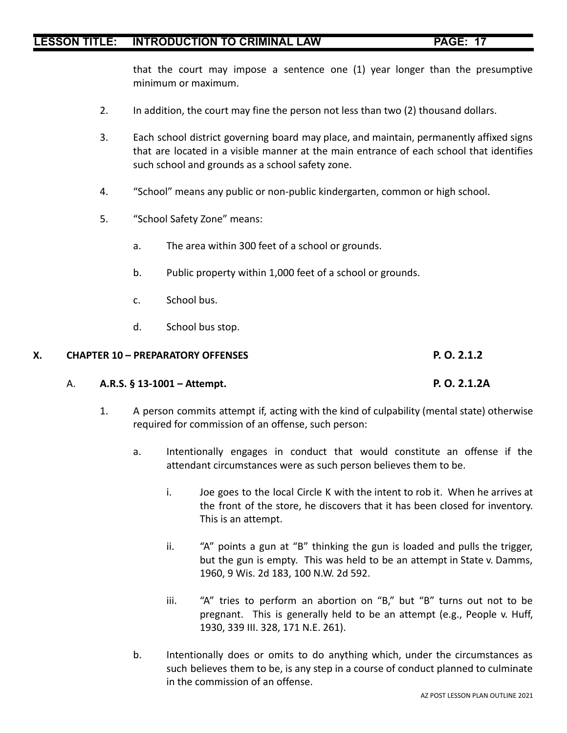that the court may impose a sentence one (1) year longer than the presumptive minimum or maximum.

- 2. In addition, the court may fine the person not less than two (2) thousand dollars.
- 3. Each school district governing board may place, and maintain, permanently affixed signs that are located in a visible manner at the main entrance of each school that identifies such school and grounds as a school safety zone.
- 4. "School" means any public or non-public kindergarten, common or high school.
- 5. "School Safety Zone" means:
	- a. The area within 300 feet of a school or grounds.
	- b. Public property within 1,000 feet of a school or grounds.
	- c. School bus.
	- d. School bus stop.

### **X. CHAPTER 10 – PREPARATORY OFFENSES P. O. 2.1.2**

### A. **A.R.S. § 13-1001 – Attempt. P. O. 2.1.2A**

- 1. A person commits attempt if, acting with the kind of culpability (mental state) otherwise required for commission of an offense, such person:
	- a. Intentionally engages in conduct that would constitute an offense if the attendant circumstances were as such person believes them to be.
		- i. Joe goes to the local Circle K with the intent to rob it. When he arrives at the front of the store, he discovers that it has been closed for inventory. This is an attempt.
		- ii. "A" points a gun at "B" thinking the gun is loaded and pulls the trigger, but the gun is empty. This was held to be an attempt in State v. Damms, 1960, 9 Wis. 2d 183, 100 N.W. 2d 592.
		- iii. "A" tries to perform an abortion on "B," but "B" turns out not to be pregnant. This is generally held to be an attempt (e.g., People v. Huff, 1930, 339 III. 328, 171 N.E. 261).
	- b. Intentionally does or omits to do anything which, under the circumstances as such believes them to be, is any step in a course of conduct planned to culminate in the commission of an offense.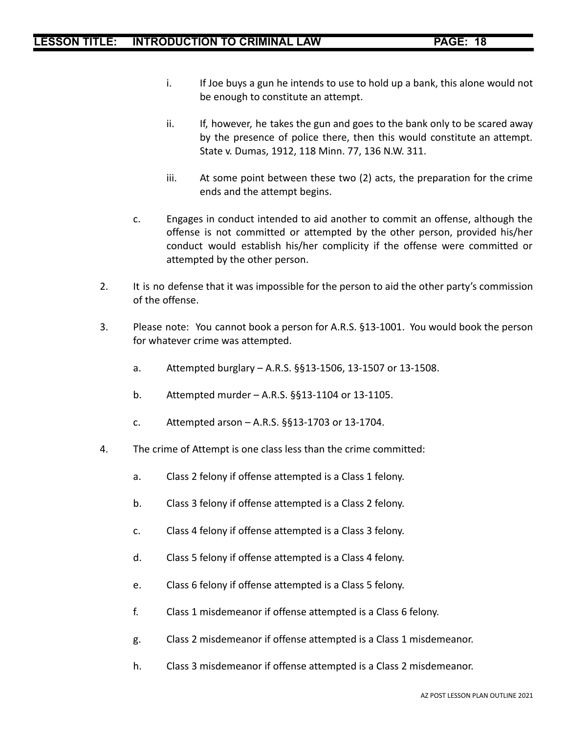- i. If Joe buys a gun he intends to use to hold up a bank, this alone would not be enough to constitute an attempt.
- ii. If, however, he takes the gun and goes to the bank only to be scared away by the presence of police there, then this would constitute an attempt. State v. Dumas, 1912, 118 Minn. 77, 136 N.W. 311.
- iii. At some point between these two (2) acts, the preparation for the crime ends and the attempt begins.
- c. Engages in conduct intended to aid another to commit an offense, although the offense is not committed or attempted by the other person, provided his/her conduct would establish his/her complicity if the offense were committed or attempted by the other person.
- 2. It is no defense that it was impossible for the person to aid the other party's commission of the offense.
- 3. Please note: You cannot book a person for A.R.S. §13-1001. You would book the person for whatever crime was attempted.
	- a. Attempted burglary A.R.S. §§13-1506, 13-1507 or 13-1508.
	- b. Attempted murder A.R.S. §§13-1104 or 13-1105.
	- c. Attempted arson A.R.S. §§13-1703 or 13-1704.
- 4. The crime of Attempt is one class less than the crime committed:
	- a. Class 2 felony if offense attempted is a Class 1 felony.
	- b. Class 3 felony if offense attempted is a Class 2 felony.
	- c. Class 4 felony if offense attempted is a Class 3 felony.
	- d. Class 5 felony if offense attempted is a Class 4 felony.
	- e. Class 6 felony if offense attempted is a Class 5 felony.
	- f. Class 1 misdemeanor if offense attempted is a Class 6 felony.
	- g. Class 2 misdemeanor if offense attempted is a Class 1 misdemeanor.
	- h. Class 3 misdemeanor if offense attempted is a Class 2 misdemeanor.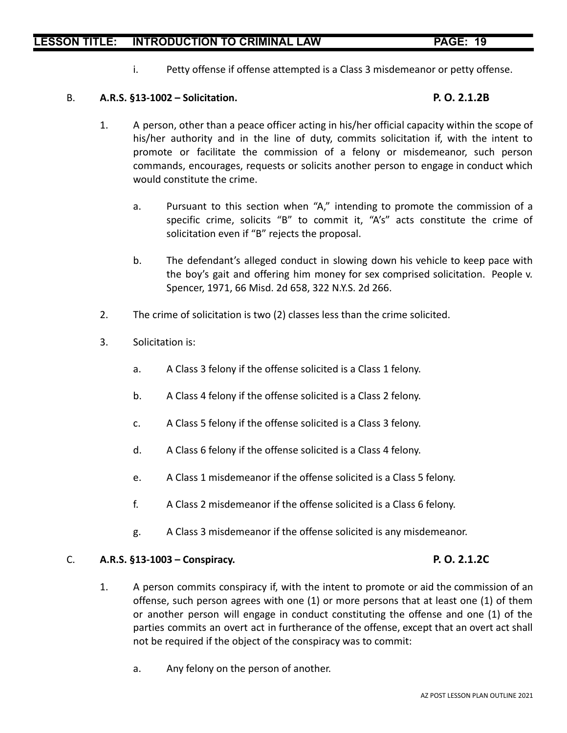i. Petty offense if offense attempted is a Class 3 misdemeanor or petty offense.

### B. **A.R.S. §13-1002 – Solicitation. P. O. 2.1.2B**

- 1. A person, other than a peace officer acting in his/her official capacity within the scope of his/her authority and in the line of duty, commits solicitation if, with the intent to promote or facilitate the commission of a felony or misdemeanor, such person commands, encourages, requests or solicits another person to engage in conduct which would constitute the crime.
	- a. Pursuant to this section when "A," intending to promote the commission of a specific crime, solicits "B" to commit it, "A's" acts constitute the crime of solicitation even if "B" rejects the proposal.
	- b. The defendant's alleged conduct in slowing down his vehicle to keep pace with the boy's gait and offering him money for sex comprised solicitation. People v. Spencer, 1971, 66 Misd. 2d 658, 322 N.Y.S. 2d 266.
- 2. The crime of solicitation is two (2) classes less than the crime solicited.
- 3. Solicitation is:
	- a. A Class 3 felony if the offense solicited is a Class 1 felony.
	- b. A Class 4 felony if the offense solicited is a Class 2 felony.
	- c. A Class 5 felony if the offense solicited is a Class 3 felony.
	- d. A Class 6 felony if the offense solicited is a Class 4 felony.
	- e. A Class 1 misdemeanor if the offense solicited is a Class 5 felony.
	- f. A Class 2 misdemeanor if the offense solicited is a Class 6 felony.
	- g. A Class 3 misdemeanor if the offense solicited is any misdemeanor.

### C. **A.R.S. §13-1003 – Conspiracy. P. O. 2.1.2C**

- 1. A person commits conspiracy if, with the intent to promote or aid the commission of an offense, such person agrees with one (1) or more persons that at least one (1) of them or another person will engage in conduct constituting the offense and one (1) of the parties commits an overt act in furtherance of the offense, except that an overt act shall not be required if the object of the conspiracy was to commit:
	- a. Any felony on the person of another.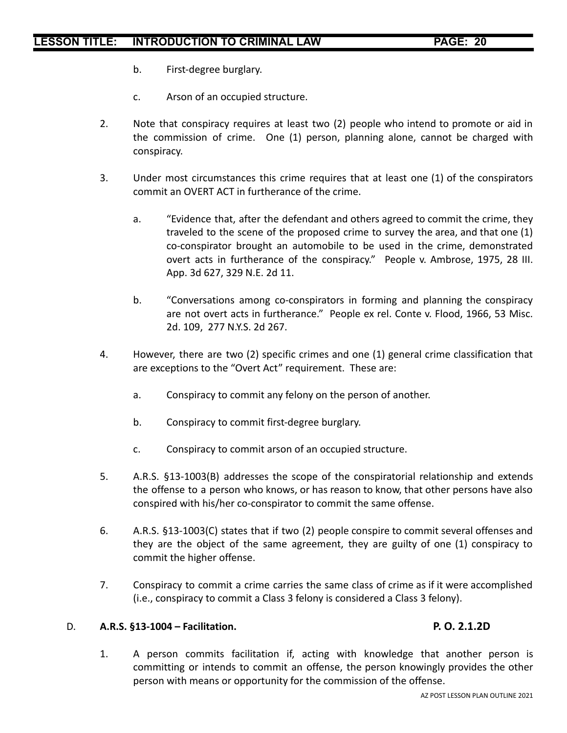- b. First-degree burglary.
- c. Arson of an occupied structure.
- 2. Note that conspiracy requires at least two (2) people who intend to promote or aid in the commission of crime. One (1) person, planning alone, cannot be charged with conspiracy.
- 3. Under most circumstances this crime requires that at least one (1) of the conspirators commit an OVERT ACT in furtherance of the crime.
	- a. "Evidence that, after the defendant and others agreed to commit the crime, they traveled to the scene of the proposed crime to survey the area, and that one (1) co-conspirator brought an automobile to be used in the crime, demonstrated overt acts in furtherance of the conspiracy." People v. Ambrose, 1975, 28 III. App. 3d 627, 329 N.E. 2d 11.
	- b. "Conversations among co-conspirators in forming and planning the conspiracy are not overt acts in furtherance." People ex rel. Conte v. Flood, 1966, 53 Misc. 2d. 109, 277 N.Y.S. 2d 267.
- 4. However, there are two (2) specific crimes and one (1) general crime classification that are exceptions to the "Overt Act" requirement. These are:
	- a. Conspiracy to commit any felony on the person of another.
	- b. Conspiracy to commit first-degree burglary.
	- c. Conspiracy to commit arson of an occupied structure.
- 5. A.R.S. §13-1003(B) addresses the scope of the conspiratorial relationship and extends the offense to a person who knows, or has reason to know, that other persons have also conspired with his/her co-conspirator to commit the same offense.
- 6. A.R.S. §13-1003(C) states that if two (2) people conspire to commit several offenses and they are the object of the same agreement, they are guilty of one (1) conspiracy to commit the higher offense.
- 7. Conspiracy to commit a crime carries the same class of crime as if it were accomplished (i.e., conspiracy to commit a Class 3 felony is considered a Class 3 felony).

### D. **A.R.S. §13-1004 – Facilitation. P. O. 2.1.2D**

1. A person commits facilitation if, acting with knowledge that another person is committing or intends to commit an offense, the person knowingly provides the other person with means or opportunity for the commission of the offense.